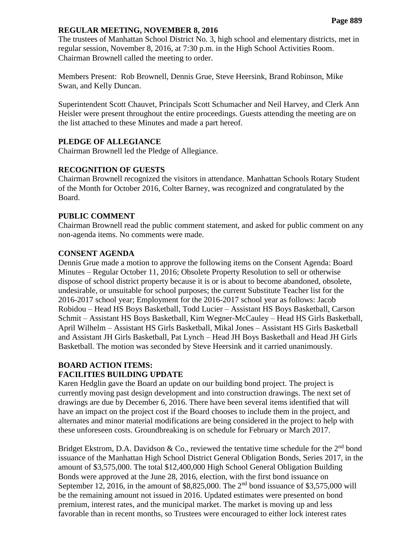#### **REGULAR MEETING, NOVEMBER 8, 2016**

The trustees of Manhattan School District No. 3, high school and elementary districts, met in regular session, November 8, 2016, at 7:30 p.m. in the High School Activities Room. Chairman Brownell called the meeting to order.

Members Present: Rob Brownell, Dennis Grue, Steve Heersink, Brand Robinson, Mike Swan, and Kelly Duncan.

Superintendent Scott Chauvet, Principals Scott Schumacher and Neil Harvey, and Clerk Ann Heisler were present throughout the entire proceedings. Guests attending the meeting are on the list attached to these Minutes and made a part hereof.

## **PLEDGE OF ALLEGIANCE**

Chairman Brownell led the Pledge of Allegiance.

#### **RECOGNITION OF GUESTS**

Chairman Brownell recognized the visitors in attendance. Manhattan Schools Rotary Student of the Month for October 2016, Colter Barney, was recognized and congratulated by the Board.

#### **PUBLIC COMMENT**

Chairman Brownell read the public comment statement, and asked for public comment on any non-agenda items. No comments were made.

#### **CONSENT AGENDA**

Dennis Grue made a motion to approve the following items on the Consent Agenda: Board Minutes – Regular October 11, 2016; Obsolete Property Resolution to sell or otherwise dispose of school district property because it is or is about to become abandoned, obsolete, undesirable, or unsuitable for school purposes; the current Substitute Teacher list for the 2016-2017 school year; Employment for the 2016-2017 school year as follows: Jacob Robidou – Head HS Boys Basketball, Todd Lucier – Assistant HS Boys Basketball, Carson Schmit – Assistant HS Boys Basketball, Kim Wegner-McCauley – Head HS Girls Basketball, April Wilhelm – Assistant HS Girls Basketball, Mikal Jones – Assistant HS Girls Basketball and Assistant JH Girls Basketball, Pat Lynch – Head JH Boys Basketball and Head JH Girls Basketball. The motion was seconded by Steve Heersink and it carried unanimously.

#### **BOARD ACTION ITEMS: FACILITIES BUILDING UPDATE**

Karen Hedglin gave the Board an update on our building bond project. The project is currently moving past design development and into construction drawings. The next set of drawings are due by December 6, 2016. There have been several items identified that will have an impact on the project cost if the Board chooses to include them in the project, and alternates and minor material modifications are being considered in the project to help with these unforeseen costs. Groundbreaking is on schedule for February or March 2017.

Bridget Ekstrom, D.A. Davidson & Co., reviewed the tentative time schedule for the  $2<sup>nd</sup>$  bond issuance of the Manhattan High School District General Obligation Bonds, Series 2017, in the amount of \$3,575,000. The total \$12,400,000 High School General Obligation Building Bonds were approved at the June 28, 2016, election, with the first bond issuance on September 12, 2016, in the amount of \$8,825,000. The  $2<sup>nd</sup>$  bond issuance of \$3,575,000 will be the remaining amount not issued in 2016. Updated estimates were presented on bond premium, interest rates, and the municipal market. The market is moving up and less favorable than in recent months, so Trustees were encouraged to either lock interest rates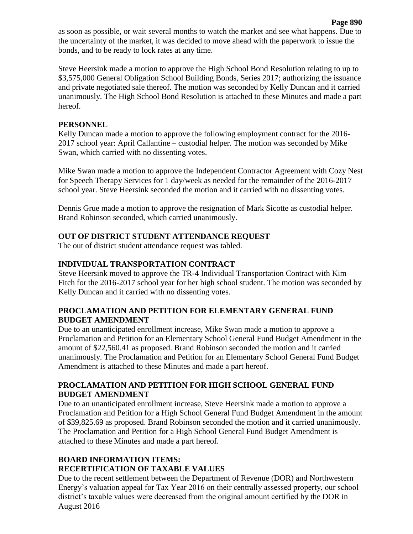as soon as possible, or wait several months to watch the market and see what happens. Due to the uncertainty of the market, it was decided to move ahead with the paperwork to issue the bonds, and to be ready to lock rates at any time.

Steve Heersink made a motion to approve the High School Bond Resolution relating to up to \$3,575,000 General Obligation School Building Bonds, Series 2017; authorizing the issuance and private negotiated sale thereof. The motion was seconded by Kelly Duncan and it carried unanimously. The High School Bond Resolution is attached to these Minutes and made a part hereof.

### **PERSONNEL**

Kelly Duncan made a motion to approve the following employment contract for the 2016- 2017 school year: April Callantine – custodial helper. The motion was seconded by Mike Swan, which carried with no dissenting votes.

Mike Swan made a motion to approve the Independent Contractor Agreement with Cozy Nest for Speech Therapy Services for 1 day/week as needed for the remainder of the 2016-2017 school year. Steve Heersink seconded the motion and it carried with no dissenting votes.

Dennis Grue made a motion to approve the resignation of Mark Sicotte as custodial helper. Brand Robinson seconded, which carried unanimously.

## **OUT OF DISTRICT STUDENT ATTENDANCE REQUEST**

The out of district student attendance request was tabled.

## **INDIVIDUAL TRANSPORTATION CONTRACT**

Steve Heersink moved to approve the TR-4 Individual Transportation Contract with Kim Fitch for the 2016-2017 school year for her high school student. The motion was seconded by Kelly Duncan and it carried with no dissenting votes.

## **PROCLAMATION AND PETITION FOR ELEMENTARY GENERAL FUND BUDGET AMENDMENT**

Due to an unanticipated enrollment increase, Mike Swan made a motion to approve a Proclamation and Petition for an Elementary School General Fund Budget Amendment in the amount of \$22,560.41 as proposed. Brand Robinson seconded the motion and it carried unanimously. The Proclamation and Petition for an Elementary School General Fund Budget Amendment is attached to these Minutes and made a part hereof.

## **PROCLAMATION AND PETITION FOR HIGH SCHOOL GENERAL FUND BUDGET AMENDMENT**

Due to an unanticipated enrollment increase, Steve Heersink made a motion to approve a Proclamation and Petition for a High School General Fund Budget Amendment in the amount of \$39,825.69 as proposed. Brand Robinson seconded the motion and it carried unanimously. The Proclamation and Petition for a High School General Fund Budget Amendment is attached to these Minutes and made a part hereof.

# **BOARD INFORMATION ITEMS: RECERTIFICATION OF TAXABLE VALUES**

Due to the recent settlement between the Department of Revenue (DOR) and Northwestern Energy's valuation appeal for Tax Year 2016 on their centrally assessed property, our school district's taxable values were decreased from the original amount certified by the DOR in August 2016